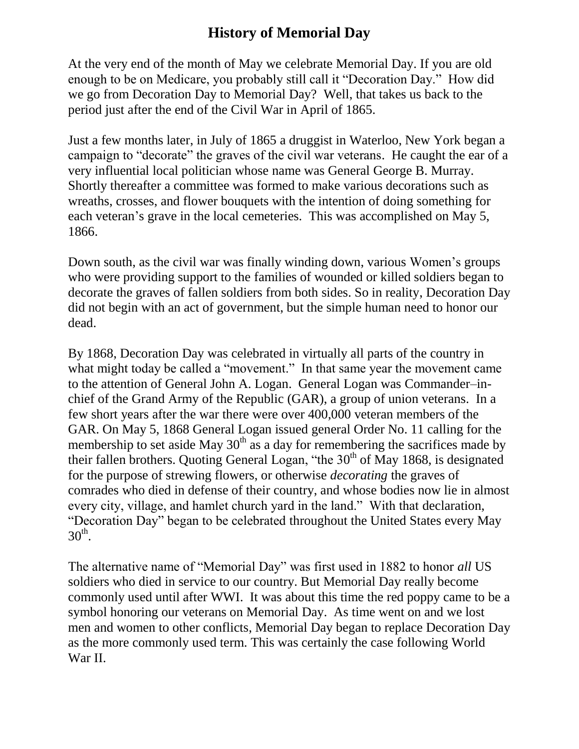## **History of Memorial Day**

At the very end of the month of May we celebrate Memorial Day. If you are old enough to be on Medicare, you probably still call it "Decoration Day." How did we go from Decoration Day to Memorial Day? Well, that takes us back to the period just after the end of the Civil War in April of 1865.

Just a few months later, in July of 1865 a druggist in Waterloo, New York began a campaign to "decorate" the graves of the civil war veterans. He caught the ear of a very influential local politician whose name was General George B. Murray. Shortly thereafter a committee was formed to make various decorations such as wreaths, crosses, and flower bouquets with the intention of doing something for each veteran's grave in the local cemeteries. This was accomplished on May 5, 1866.

Down south, as the civil war was finally winding down, various Women's groups who were providing support to the families of wounded or killed soldiers began to decorate the graves of fallen soldiers from both sides. So in reality, Decoration Day did not begin with an act of government, but the simple human need to honor our dead.

By 1868, Decoration Day was celebrated in virtually all parts of the country in what might today be called a "movement." In that same year the movement came to the attention of General John A. Logan. General Logan was Commander–inchief of the Grand Army of the Republic (GAR), a group of union veterans. In a few short years after the war there were over 400,000 veteran members of the GAR. On May 5, 1868 General Logan issued general Order No. 11 calling for the membership to set aside May  $30<sup>th</sup>$  as a day for remembering the sacrifices made by their fallen brothers. Quoting General Logan, "the 30<sup>th</sup> of May 1868, is designated for the purpose of strewing flowers, or otherwise *decorating* the graves of comrades who died in defense of their country, and whose bodies now lie in almost every city, village, and hamlet church yard in the land." With that declaration, "Decoration Day" began to be celebrated throughout the United States every May  $30<sup>th</sup>$ .

The alternative name of "Memorial Day" was first used in 1882 to honor *all* US soldiers who died in service to our country. But Memorial Day really become commonly used until after WWI. It was about this time the red poppy came to be a symbol honoring our veterans on Memorial Day. As time went on and we lost men and women to other conflicts, Memorial Day began to replace Decoration Day as the more commonly used term. This was certainly the case following World War II.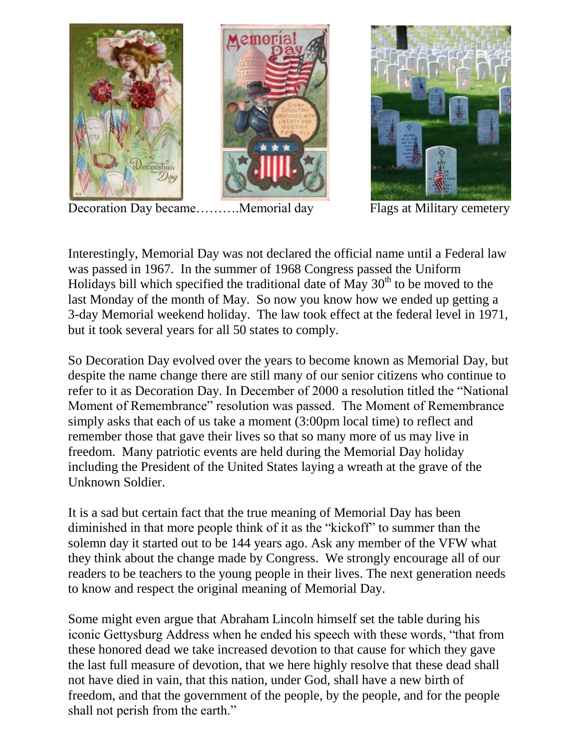

Decoration Day became..........Memorial day Flags at Military cemetery

Interestingly, Memorial Day was not declared the official name until a Federal law was passed in 1967. In the summer of 1968 Congress passed the Uniform Holidays bill which specified the traditional date of May  $30<sup>th</sup>$  to be moved to the last Monday of the month of May. So now you know how we ended up getting a 3-day Memorial weekend holiday. The law took effect at the federal level in 1971, but it took several years for all 50 states to comply.

So Decoration Day evolved over the years to become known as Memorial Day, but despite the name change there are still many of our senior citizens who continue to refer to it as Decoration Day. In December of 2000 a resolution titled the "National Moment of Remembrance" resolution was passed. The Moment of Remembrance simply asks that each of us take a moment (3:00pm local time) to reflect and remember those that gave their lives so that so many more of us may live in freedom. Many patriotic events are held during the Memorial Day holiday including the President of the United States laying a wreath at the grave of the Unknown Soldier.

It is a sad but certain fact that the true meaning of Memorial Day has been diminished in that more people think of it as the "kickoff" to summer than the solemn day it started out to be 144 years ago. Ask any member of the VFW what they think about the change made by Congress. We strongly encourage all of our readers to be teachers to the young people in their lives. The next generation needs to know and respect the original meaning of Memorial Day.

Some might even argue that Abraham Lincoln himself set the table during his iconic Gettysburg Address when he ended his speech with these words, "that from these honored dead we take increased devotion to that cause for which they gave the last full measure of devotion, that we here highly resolve that these dead shall not have died in vain, that this nation, under God, shall have a new birth of freedom, and that the government of the people, by the people, and for the people shall not perish from the earth."